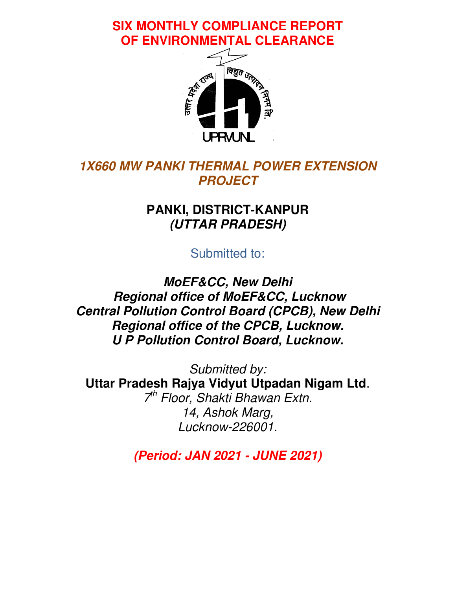**SIX MONTHLY COMPLIANCE REPORT REPORT OF ENVIRONMENTAL CLEARANCE CLEARANCE**



## *1X660 MW PANKI THERMAL POWER EXTENSION PROJECT*

## **PANKI, DISTRICT DISTRICT-KANPUR**  *(UTTAR PRADESH)*

Submitted to:

*MoEF&CC, New Delhi Regional office of MoEF&CC, Lucknow Central Pollution Control Board (CPCB), New Delhi Delhi Regional office of the CPCB, Lucknow. U P Pollution Control Board, Lucknow. 1X660 MW PANKI THERMA<br>PROJE<br>PANKI, DISTRIC<br>(UTTAR PRA<br>Submitted Molentral Pollution Control Bc<br>Pegional office of Molentral Pollution Control Bc* 

**Uttar Pradesh Rajya Vidyut Utpadan Nigam Ltd Rajya Nigam** .  $7<sup>th</sup>$  *Floor, Shakti Bhawan Extn. Lucknow Lucknow-226001. Submitted by: 14, Ashok Marg,* 

*(Period: J JAN 2021 - JUNE 2021)*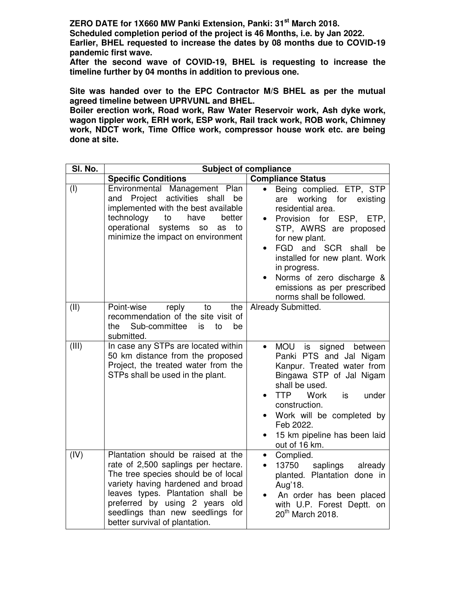**ZERO DATE for 1X660 MW Panki Extension, Panki: 31st March 2018. Scheduled completion period of the project is 46 Months, i.e. by Jan 2022.** 

**Earlier, BHEL requested to increase the dates by 08 months due to COVID-19 pandemic first wave.** 

**After the second wave of COVID-19, BHEL is requesting to increase the timeline further by 04 months in addition to previous one.** 

**Site was handed over to the EPC Contractor M/S BHEL as per the mutual agreed timeline between UPRVUNL and BHEL.** 

**Boiler erection work, Road work, Raw Water Reservoir work, Ash dyke work, wagon tippler work, ERH work, ESP work, Rail track work, ROB work, Chimney work, NDCT work, Time Office work, compressor house work etc. are being done at site.** 

| SI. No. | <b>Subject of compliance</b>                                                                                                                                                                                                                                                                          |                                                                                                                                                                                                                                                                                                                         |  |
|---------|-------------------------------------------------------------------------------------------------------------------------------------------------------------------------------------------------------------------------------------------------------------------------------------------------------|-------------------------------------------------------------------------------------------------------------------------------------------------------------------------------------------------------------------------------------------------------------------------------------------------------------------------|--|
|         | <b>Specific Conditions</b>                                                                                                                                                                                                                                                                            | <b>Compliance Status</b>                                                                                                                                                                                                                                                                                                |  |
| (1)     | Environmental Management Plan<br>Project activities shall<br>be<br>and<br>implemented with the best available<br>technology<br>to<br>have<br>better<br>operational<br>systems<br>to<br>S <sub>O</sub><br>as<br>minimize the impact on environment                                                     | Being complied. ETP, STP<br>are working for existing<br>residential area.<br>Provision for ESP, ETP,<br>STP, AWRS are proposed<br>for new plant.<br>FGD and SCR<br>shall<br>be<br>installed for new plant. Work<br>in progress.<br>Norms of zero discharge &<br>emissions as per prescribed<br>norms shall be followed. |  |
| (II)    | Point-wise<br>reply<br>the<br>to<br>recommendation of the site visit of<br>Sub-committee<br>to<br>be<br>the<br>is<br>submitted.                                                                                                                                                                       | Already Submitted.                                                                                                                                                                                                                                                                                                      |  |
| (III)   | In case any STPs are located within<br>50 km distance from the proposed<br>Project, the treated water from the<br>STPs shall be used in the plant.                                                                                                                                                    | <b>MOU</b><br>is<br>signed between<br>$\bullet$<br>Panki PTS and Jal Nigam<br>Kanpur. Treated water from<br>Bingawa STP of Jal Nigam<br>shall be used.<br><b>TTP</b><br><b>Work</b><br>under<br>is<br>construction.<br>Work will be completed by<br>Feb 2022.<br>15 km pipeline has been laid<br>out of 16 km.          |  |
| (IV)    | Plantation should be raised at the<br>rate of 2,500 saplings per hectare.<br>The tree species should be of local<br>variety having hardened and broad<br>leaves types. Plantation shall be<br>preferred by using 2 years<br>old<br>seedlings than new seedlings for<br>better survival of plantation. | Complied.<br>$\bullet$<br>13750<br>saplings already<br>planted. Plantation done in<br>Aug'18.<br>An order has been placed<br>with U.P. Forest Deptt. on<br>20 <sup>th</sup> March 2018.                                                                                                                                 |  |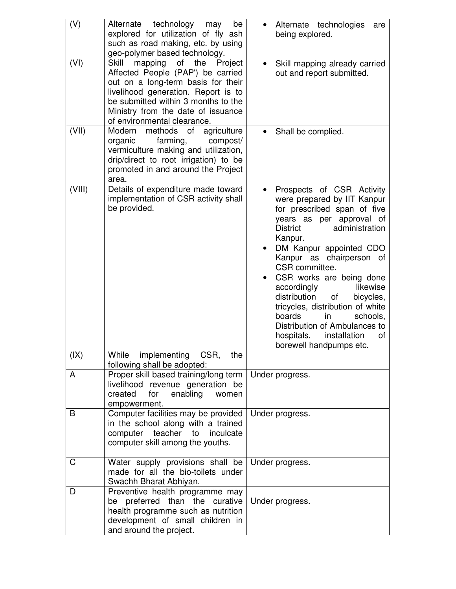| (V)    | technology may<br>Alternate<br>be<br>explored for utilization of fly ash<br>such as road making, etc. by using<br>geo-polymer based technology.                                                                                                                  | Alternate technologies<br>are<br>being explored.                                                                                                                                                                                                                                                                                                                                                                                                                                                                    |
|--------|------------------------------------------------------------------------------------------------------------------------------------------------------------------------------------------------------------------------------------------------------------------|---------------------------------------------------------------------------------------------------------------------------------------------------------------------------------------------------------------------------------------------------------------------------------------------------------------------------------------------------------------------------------------------------------------------------------------------------------------------------------------------------------------------|
| (VI)   | mapping of the<br>Skill<br>Project<br>Affected People (PAP') be carried<br>out on a long-term basis for their<br>livelihood generation. Report is to<br>be submitted within 3 months to the<br>Ministry from the date of issuance<br>of environmental clearance. | Skill mapping already carried<br>out and report submitted.                                                                                                                                                                                                                                                                                                                                                                                                                                                          |
| (VII)  | Modern<br>methods of<br>agriculture<br>farming,<br>organic<br>compost/<br>vermiculture making and utilization,<br>drip/direct to root irrigation) to be<br>promoted in and around the Project<br>area.                                                           | Shall be complied.                                                                                                                                                                                                                                                                                                                                                                                                                                                                                                  |
| (VIII) | Details of expenditure made toward<br>implementation of CSR activity shall<br>be provided.                                                                                                                                                                       | Prospects of CSR Activity<br>$\bullet$<br>were prepared by IIT Kanpur<br>for prescribed span of five<br>years as per approval of<br><b>District</b><br>administration<br>Kanpur.<br>DM Kanpur appointed CDO<br>Kanpur as chairperson of<br>CSR committee.<br>CSR works are being done<br>likewise<br>accordingly<br>distribution<br>of<br>bicycles,<br>tricycles, distribution of white<br>boards<br>in<br>schools.<br>Distribution of Ambulances to<br>hospitals,<br>installation<br>οf<br>borewell handpumps etc. |
| (IX)   | While<br>implementing CSR,<br>the<br>following shall be adopted:                                                                                                                                                                                                 |                                                                                                                                                                                                                                                                                                                                                                                                                                                                                                                     |
| A      | Proper skill based training/long term<br>livelihood revenue generation be<br>created<br>for<br>enabling<br>women<br>empowerment.                                                                                                                                 | Under progress.                                                                                                                                                                                                                                                                                                                                                                                                                                                                                                     |
| B      | Computer facilities may be provided<br>in the school along with a trained<br>computer teacher<br>to<br>inculcate<br>computer skill among the youths.                                                                                                             | Under progress.                                                                                                                                                                                                                                                                                                                                                                                                                                                                                                     |
| C      | Water supply provisions shall be<br>made for all the bio-toilets under<br>Swachh Bharat Abhiyan.                                                                                                                                                                 | Under progress.                                                                                                                                                                                                                                                                                                                                                                                                                                                                                                     |
| D      | Preventive health programme may<br>be preferred than the curative<br>health programme such as nutrition<br>development of small children in<br>and around the project.                                                                                           | Under progress.                                                                                                                                                                                                                                                                                                                                                                                                                                                                                                     |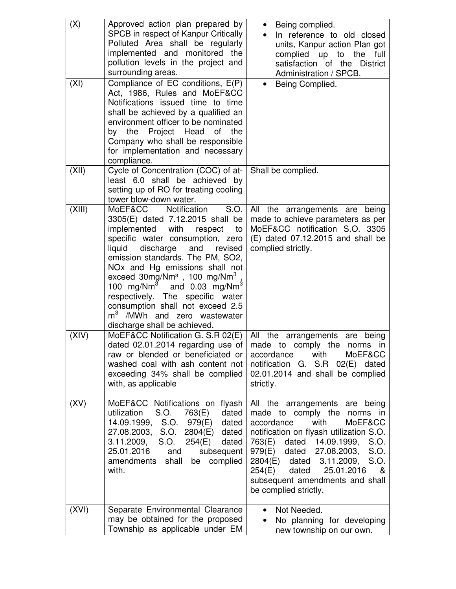| (X)    | Approved action plan prepared by<br>SPCB in respect of Kanpur Critically<br>Polluted Area shall be regularly<br>implemented and monitored the<br>pollution levels in the project and<br>surrounding areas.                                                                                                                                                                                                                                                                                                               | Being complied.<br>$\bullet$<br>In reference to old closed<br>units, Kanpur action Plan got<br>complied up to the<br>full<br>satisfaction of the District<br>Administration / SPCB.                                                                                                                                                                                |
|--------|--------------------------------------------------------------------------------------------------------------------------------------------------------------------------------------------------------------------------------------------------------------------------------------------------------------------------------------------------------------------------------------------------------------------------------------------------------------------------------------------------------------------------|--------------------------------------------------------------------------------------------------------------------------------------------------------------------------------------------------------------------------------------------------------------------------------------------------------------------------------------------------------------------|
| (XI)   | Compliance of EC conditions, E(P)<br>Act, 1986, Rules and MoEF&CC<br>Notifications issued time to time<br>shall be achieved by a qualified an<br>environment officer to be nominated<br>Project Head<br>by the<br>οf<br>the<br>Company who shall be responsible<br>for implementation and necessary<br>compliance.                                                                                                                                                                                                       | Being Complied.<br>$\bullet$                                                                                                                                                                                                                                                                                                                                       |
| (XII)  | Cycle of Concentration (COC) of at-<br>least 6.0 shall be achieved<br>by<br>setting up of RO for treating cooling<br>tower blow-down water.                                                                                                                                                                                                                                                                                                                                                                              | Shall be complied.                                                                                                                                                                                                                                                                                                                                                 |
| (XIII) | MoEF&CC Notification<br>S.O.<br>3305(E) dated 7.12.2015 shall be<br>implemented with<br>respect<br>to<br>specific water consumption, zero<br>discharge<br>liquid<br>and<br>revised<br>emission standards. The PM, SO2,<br>NO <sub>x</sub> and Hg emissions shall not<br>exceed 30mg/Nm <sup>3</sup> , 100 mg/Nm <sup>3</sup> ,<br>100 $mg/Nm3$<br>and $0.03$ mg/Nm <sup>3</sup><br>respectively. The specific water<br>consumption shall not exceed 2.5<br>$m3$ /MWh and zero wastewater<br>discharge shall be achieved. | All the arrangements are being<br>made to achieve parameters as per<br>MoEF&CC notification S.O. 3305<br>$(E)$ dated 07.12.2015 and shall be<br>complied strictly.                                                                                                                                                                                                 |
| (XIV)  | MoEF&CC Notification G. S.R 02(E)<br>dated 02.01.2014 regarding use of<br>raw or blended or beneficiated or<br>washed coal with ash content not<br>exceeding 34% shall be complied<br>with, as applicable                                                                                                                                                                                                                                                                                                                | All the arrangements are being<br>made to comply the<br>norms in<br>accordance<br>with<br>MoEF&CC<br>notification<br>$S.R$ $02(E)$<br>dated<br>G.<br>02.01.2014 and shall be complied<br>strictly.                                                                                                                                                                 |
| (XV)   | MoEF&CC Notifications on flyash<br>dated<br>utilization<br>S.O.<br>763(E)<br>14.09.1999, S.O. 979(E)<br>dated<br>27.08.2003, S.O. 2804(E)<br>dated<br>3.11.2009, S.O.<br>254(E)<br>dated<br>25.01.2016<br>and<br>subsequent<br>amendments shall<br>complied<br>be<br>with.                                                                                                                                                                                                                                               | All the arrangements are<br>being<br>made to comply the<br>norms in<br>accordance<br>with<br>MoEF&CC<br>notification on flyash utilization S.O.<br>763(E) dated 14.09.1999,<br>S.O.<br>979(E) dated 27.08.2003,<br>S.O.<br>$2804(E)$ dated<br>3.11.2009,<br>S.O.<br>25.01.2016<br>dated<br>254(E)<br>&<br>subsequent amendments and shall<br>be complied strictly. |
| (XVI)  | Separate Environmental Clearance<br>may be obtained for the proposed<br>Township as applicable under EM                                                                                                                                                                                                                                                                                                                                                                                                                  | Not Needed.<br>No planning for developing<br>new township on our own.                                                                                                                                                                                                                                                                                              |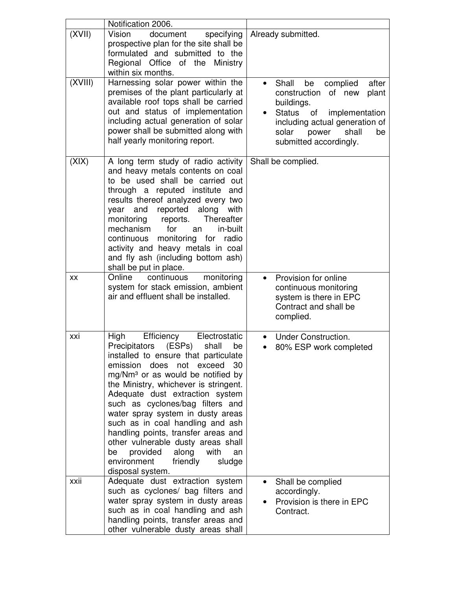|         | Notification 2006.                                                                                                                                                                                                                                                                                                                                                                                                                                                                                                                                                               |                                                                                                                                                                                                            |
|---------|----------------------------------------------------------------------------------------------------------------------------------------------------------------------------------------------------------------------------------------------------------------------------------------------------------------------------------------------------------------------------------------------------------------------------------------------------------------------------------------------------------------------------------------------------------------------------------|------------------------------------------------------------------------------------------------------------------------------------------------------------------------------------------------------------|
| (XVII)  | Vision<br>document<br>specifying<br>prospective plan for the site shall be<br>formulated and submitted to the<br>Regional Office of the Ministry<br>within six months.                                                                                                                                                                                                                                                                                                                                                                                                           | Already submitted.                                                                                                                                                                                         |
| (XVIII) | Harnessing solar power within the<br>premises of the plant particularly at<br>available roof tops shall be carried<br>out and status of implementation<br>including actual generation of solar<br>power shall be submitted along with<br>half yearly monitoring report.                                                                                                                                                                                                                                                                                                          | after<br>Shall<br>be<br>complied<br>construction<br>plant<br>of new<br>buildings.<br>Status of implementation<br>including actual generation of<br>solar<br>power<br>shall<br>be<br>submitted accordingly. |
| (XIX)   | A long term study of radio activity<br>and heavy metals contents on coal<br>to be used shall be carried out<br>through a reputed institute and<br>results thereof analyzed every two<br>reported along with<br>year<br>and<br>monitoring<br>reports.<br>Thereafter<br>mechanism<br>for<br>in-built<br>an<br>continuous monitoring for radio<br>activity and heavy metals in coal<br>and fly ash (including bottom ash)<br>shall be put in place.                                                                                                                                 | Shall be complied.                                                                                                                                                                                         |
| XX      | Online<br>continuous<br>monitoring<br>system for stack emission, ambient<br>air and effluent shall be installed.                                                                                                                                                                                                                                                                                                                                                                                                                                                                 | Provision for online<br>continuous monitoring<br>system is there in EPC<br>Contract and shall be<br>complied.                                                                                              |
| xxi     | High<br>Efficiency<br>Electrostatic<br>Precipitators (ESPs)<br>shall<br>be<br>installed to ensure that particulate<br>emission does<br>not exceed<br>30<br>mg/Nm <sup>3</sup> or as would be notified by<br>the Ministry, whichever is stringent.<br>Adequate dust extraction system<br>such as cyclones/bag filters and<br>water spray system in dusty areas<br>such as in coal handling and ash<br>handling points, transfer areas and<br>other vulnerable dusty areas shall<br>provided<br>along<br>with<br>be<br>an<br>environment<br>friendly<br>sludge<br>disposal system. | <b>Under Construction.</b><br>$\bullet$<br>80% ESP work completed                                                                                                                                          |
| xxii    | Adequate dust extraction system<br>such as cyclones/ bag filters and<br>water spray system in dusty areas<br>such as in coal handling and ash<br>handling points, transfer areas and<br>other vulnerable dusty areas shall                                                                                                                                                                                                                                                                                                                                                       | Shall be complied<br>$\bullet$<br>accordingly.<br>Provision is there in EPC<br>Contract.                                                                                                                   |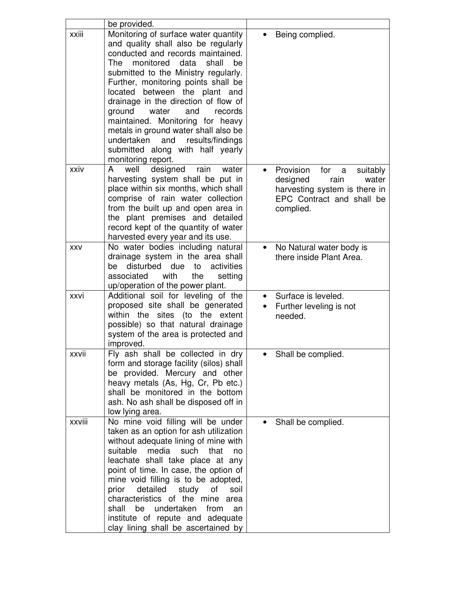|            | be provided.                                                                                                                                                                                                                                                                                                                                                                                                                                                                                                                   |                                                                                                                                        |
|------------|--------------------------------------------------------------------------------------------------------------------------------------------------------------------------------------------------------------------------------------------------------------------------------------------------------------------------------------------------------------------------------------------------------------------------------------------------------------------------------------------------------------------------------|----------------------------------------------------------------------------------------------------------------------------------------|
| xxiii      | Monitoring of surface water quantity<br>and quality shall also be regularly<br>conducted and records maintained.<br>monitored data<br>shall<br>The<br>be<br>submitted to the Ministry regularly.<br>Further, monitoring points shall be<br>located between the plant and<br>drainage in the direction of flow of<br>ground<br>and<br>water<br>records<br>maintained. Monitoring for heavy<br>metals in ground water shall also be<br>undertaken and results/findings<br>submitted along with half yearly<br>monitoring report. | Being complied.                                                                                                                        |
| xxiv       | well<br>designed<br>rain<br>A<br>water<br>harvesting system shall be put in<br>place within six months, which shall<br>comprise of rain water collection<br>from the built up and open area in<br>the plant premises and detailed<br>record kept of the quantity of water<br>harvested every year and its use.                                                                                                                                                                                                                 | Provision<br>for a<br>suitably<br>rain<br>designed<br>water<br>harvesting system is there in<br>EPC Contract and shall be<br>complied. |
| <b>XXV</b> | No water bodies including natural<br>drainage system in the area shall<br>disturbed<br>activities<br>due<br>be<br>to<br>associated<br>with<br>the<br>setting<br>up/operation of the power plant.                                                                                                                                                                                                                                                                                                                               | No Natural water body is<br>there inside Plant Area.                                                                                   |
| xxvi       | Additional soil for leveling of the<br>proposed site shall be generated<br>within the sites (to the extent<br>possible) so that natural drainage<br>system of the area is protected and<br>improved.                                                                                                                                                                                                                                                                                                                           | Surface is leveled.<br>Further leveling is not<br>needed.                                                                              |
| xxvii      | Fly ash shall be collected in dry<br>form and storage facility (silos) shall<br>be provided. Mercury and other<br>heavy metals (As, Hg, Cr, Pb etc.)<br>shall be monitored in the bottom<br>ash. No ash shall be disposed off in<br>low lying area.                                                                                                                                                                                                                                                                            | Shall be complied.                                                                                                                     |
| xxviii     | No mine void filling will be under<br>taken as an option for ash utilization<br>without adequate lining of mine with<br>suitable<br>media<br>such<br>that<br>no<br>leachate shall take place at any<br>point of time. In case, the option of<br>mine void filling is to be adopted,<br>detailed<br>prior<br>study<br>οf<br>soil<br>characteristics of the mine area<br>undertaken<br>shall<br>be<br>from<br>an<br>institute of repute and adequate<br>clay lining shall be ascertained by                                      | Shall be complied.                                                                                                                     |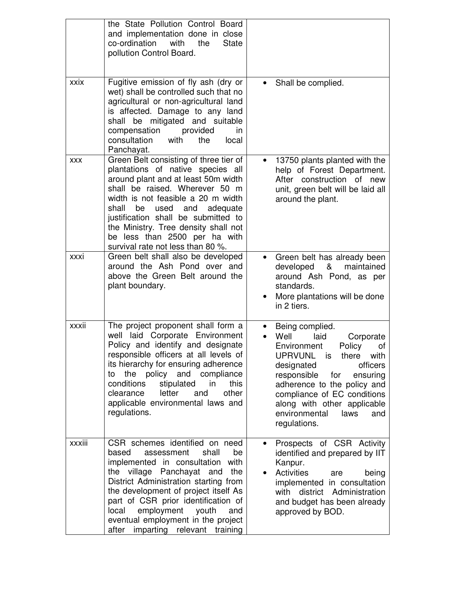|            | the State Pollution Control Board<br>and implementation done in close<br>co-ordination<br>with<br>the<br><b>State</b><br>pollution Control Board.                                                                                                                                                                                                                                         |                                                                                                                                                                                                                                                                                                                               |
|------------|-------------------------------------------------------------------------------------------------------------------------------------------------------------------------------------------------------------------------------------------------------------------------------------------------------------------------------------------------------------------------------------------|-------------------------------------------------------------------------------------------------------------------------------------------------------------------------------------------------------------------------------------------------------------------------------------------------------------------------------|
| xxix       | Fugitive emission of fly ash (dry or<br>wet) shall be controlled such that no<br>agricultural or non-agricultural land<br>is affected. Damage to any land<br>shall be mitigated and suitable<br>compensation<br>provided<br>in<br>consultation<br>with<br>the<br>local<br>Panchayat.                                                                                                      | Shall be complied.                                                                                                                                                                                                                                                                                                            |
| <b>XXX</b> | Green Belt consisting of three tier of<br>plantations of native species all<br>around plant and at least 50m width<br>shall be raised. Wherever 50 m<br>width is not feasible a 20 m width<br>shall<br>be<br>used<br>and<br>adequate<br>justification shall be submitted to<br>the Ministry. Tree density shall not<br>be less than 2500 per ha with<br>survival rate not less than 80 %. | 13750 plants planted with the<br>help of Forest Department.<br>After construction of new<br>unit, green belt will be laid all<br>around the plant.                                                                                                                                                                            |
| xxxi       | Green belt shall also be developed<br>around the Ash Pond over and<br>above the Green Belt around the<br>plant boundary.                                                                                                                                                                                                                                                                  | Green belt has already been<br>&<br>developed<br>maintained<br>around Ash Pond, as per<br>standards.<br>More plantations will be done<br>in 2 tiers.                                                                                                                                                                          |
| xxxii      | The project proponent shall form a<br>well laid Corporate Environment<br>Policy and identify and designate<br>responsible officers at all levels of<br>its hierarchy for ensuring adherence<br>policy and compliance<br>the<br>to<br>conditions<br>stipulated<br>in<br>this<br>letter<br>other<br>clearance<br>and<br>applicable environmental laws and<br>regulations.                   | Being complied.<br>Well<br>laid<br>Corporate<br>Environment<br>Policy<br>οf<br><b>UPRVUNL</b><br>with<br>there<br>is<br>officers<br>designated<br>responsible<br>for<br>ensuring<br>adherence to the policy and<br>compliance of EC conditions<br>along with other applicable<br>environmental<br>laws<br>and<br>regulations. |
| xxxiii     | CSR schemes identified on need<br>based<br>shall<br>be<br>assessment<br>implemented in consultation with<br>the village Panchayat and<br>the<br>District Administration starting from<br>the development of project itself As<br>part of CSR prior identification of<br>employment youth<br>local<br>and<br>eventual employment in the project<br>imparting relevant training<br>after    | Prospects of CSR Activity<br>identified and prepared by IIT<br>Kanpur.<br><b>Activities</b><br>being<br>are<br>$\bullet$<br>implemented in consultation<br>with district Administration<br>and budget has been already<br>approved by BOD.                                                                                    |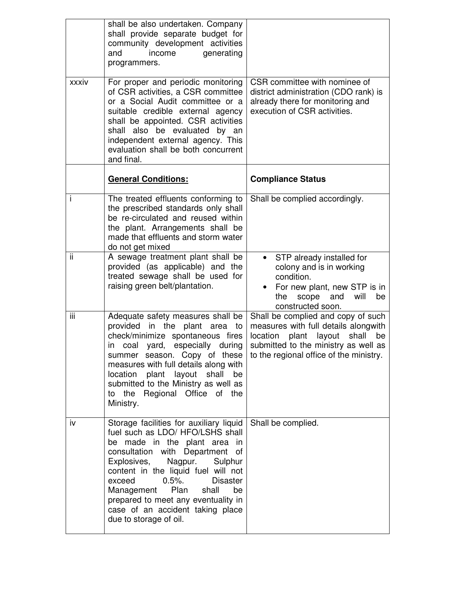|       | shall be also undertaken. Company<br>shall provide separate budget for<br>community development activities<br>generating<br>and<br>income<br>programmers.                                                                                                                                                                                                                                                     |                                                                                                                                                                                                       |
|-------|---------------------------------------------------------------------------------------------------------------------------------------------------------------------------------------------------------------------------------------------------------------------------------------------------------------------------------------------------------------------------------------------------------------|-------------------------------------------------------------------------------------------------------------------------------------------------------------------------------------------------------|
| xxxiv | For proper and periodic monitoring<br>of CSR activities, a CSR committee<br>or a Social Audit committee or a<br>suitable credible external agency<br>shall be appointed. CSR activities<br>shall also be evaluated by an<br>independent external agency. This<br>evaluation shall be both concurrent<br>and final.                                                                                            | CSR committee with nominee of<br>district administration (CDO rank) is<br>already there for monitoring and<br>execution of CSR activities.                                                            |
|       | <b>General Conditions:</b>                                                                                                                                                                                                                                                                                                                                                                                    | <b>Compliance Status</b>                                                                                                                                                                              |
| i     | The treated effluents conforming to<br>the prescribed standards only shall<br>be re-circulated and reused within<br>the plant. Arrangements shall be<br>made that effluents and storm water<br>do not get mixed                                                                                                                                                                                               | Shall be complied accordingly.                                                                                                                                                                        |
| ii.   | A sewage treatment plant shall be<br>provided (as applicable) and the<br>treated sewage shall be used for<br>raising green belt/plantation.                                                                                                                                                                                                                                                                   | STP already installed for<br>colony and is in working<br>condition.<br>For new plant, new STP is in<br>and<br>will<br>be<br>the<br>scope<br>constructed soon.                                         |
| iii   | Adequate safety measures shall be<br>provided in the plant area to<br>check/minimize spontaneous fires<br>in coal yard, especially during<br>summer season. Copy of these<br>measures with full details along with<br>plant layout<br>location<br>shall<br>be<br>submitted to the Ministry as well as<br>to the Regional Office of the<br>Ministry.                                                           | Shall be complied and copy of such<br>measures with full details alongwith<br>location plant layout<br>shall<br>be<br>submitted to the ministry as well as<br>to the regional office of the ministry. |
| iv    | Storage facilities for auxiliary liquid<br>fuel such as LDO/ HFO/LSHS shall<br>be made in the plant area in<br>consultation with Department of<br>Explosives,<br>Nagpur.<br>Sulphur<br>content in the liquid fuel will not<br>exceed<br>$0.5%$ .<br><b>Disaster</b><br>Management<br>Plan<br>shall<br>be<br>prepared to meet any eventuality in<br>case of an accident taking place<br>due to storage of oil. | Shall be complied.                                                                                                                                                                                    |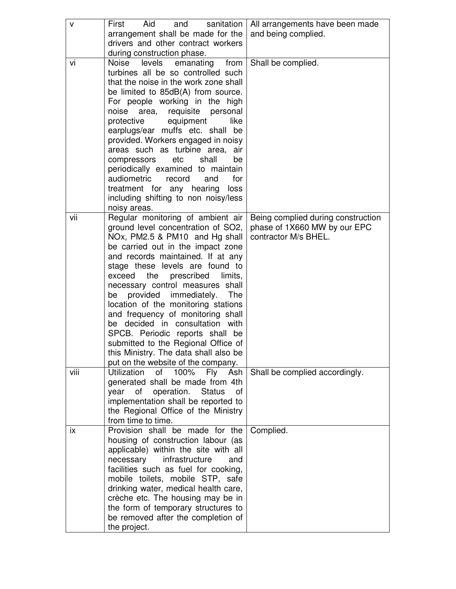| v    | Aid<br>sanitation<br>First<br>and                                          | All arrangements have been made    |
|------|----------------------------------------------------------------------------|------------------------------------|
|      | arrangement shall be made for the<br>drivers and other contract workers    | and being complied.                |
|      | during construction phase.                                                 |                                    |
| vi   | Noise levels emanating from                                                | Shall be complied.                 |
|      | turbines all be so controlled such                                         |                                    |
|      | that the noise in the work zone shall                                      |                                    |
|      | be limited to 85dB(A) from source.                                         |                                    |
|      | For people working in the high<br>noise area, requisite personal           |                                    |
|      | protective<br>equipment<br>like                                            |                                    |
|      | earplugs/ear muffs etc. shall be                                           |                                    |
|      | provided. Workers engaged in noisy                                         |                                    |
|      | areas such as turbine area,<br>air                                         |                                    |
|      | compressors<br>etc<br>shall<br>be                                          |                                    |
|      | periodically examined to maintain                                          |                                    |
|      | audiometric<br>record<br>and<br>for                                        |                                    |
|      | treatment for any hearing loss<br>including shifting to non noisy/less     |                                    |
|      | noisy areas.                                                               |                                    |
| vii  | Regular monitoring of ambient air                                          | Being complied during construction |
|      | ground level concentration of SO2,                                         | phase of 1X660 MW by our EPC       |
|      | NOx, PM2.5 & PM10 and Hg shall                                             | contractor M/s BHEL.               |
|      | be carried out in the impact zone                                          |                                    |
|      | and records maintained. If at any<br>stage these levels are found to       |                                    |
|      | prescribed<br>exceed<br>the<br>limits,                                     |                                    |
|      | necessary control measures shall                                           |                                    |
|      | be provided immediately.<br>The                                            |                                    |
|      | location of the monitoring stations                                        |                                    |
|      | and frequency of monitoring shall                                          |                                    |
|      | be decided in consultation with                                            |                                    |
|      | SPCB. Periodic reports shall be<br>submitted to the Regional Office of     |                                    |
|      | this Ministry. The data shall also be                                      |                                    |
|      | put on the website of the company.                                         |                                    |
| viii | <b>Utilization</b><br>100%<br>of<br>Fly<br>Ash                             | Shall be complied accordingly.     |
|      | generated shall be made from 4th                                           |                                    |
|      | operation.<br><b>Status</b><br>year<br>of<br>0f                            |                                    |
|      | implementation shall be reported to<br>the Regional Office of the Ministry |                                    |
|      | from time to time.                                                         |                                    |
| ix   | Provision shall be made for the                                            | Complied.                          |
|      | housing of construction labour (as                                         |                                    |
|      | applicable) within the site with all                                       |                                    |
|      | necessary<br>infrastructure<br>and                                         |                                    |
|      | facilities such as fuel for cooking,                                       |                                    |
|      | mobile toilets, mobile STP, safe                                           |                                    |
|      | drinking water, medical health care,<br>crèche etc. The housing may be in  |                                    |
|      | the form of temporary structures to                                        |                                    |
|      | be removed after the completion of                                         |                                    |
|      | the project.                                                               |                                    |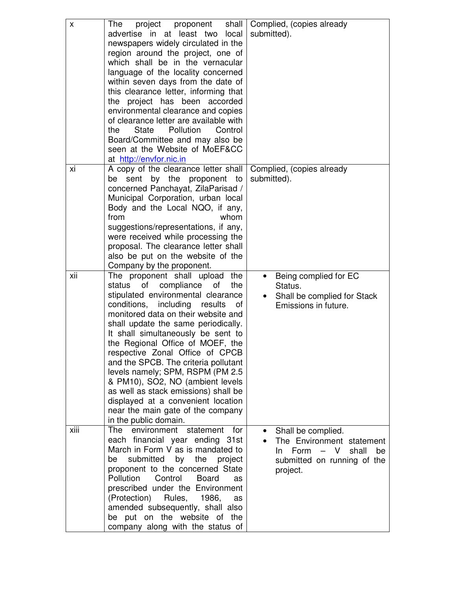| X    | project proponent<br>shall  <br><b>The</b><br>advertise in at least two local<br>newspapers widely circulated in the<br>region around the project, one of<br>which shall be in the vernacular<br>language of the locality concerned<br>within seven days from the date of<br>this clearance letter, informing that<br>the project has been accorded<br>environmental clearance and copies<br>of clearance letter are available with<br>the<br><b>State</b><br>Pollution<br>Control<br>Board/Committee and may also be<br>seen at the Website of MoEF&CC<br>at http://envfor.nic.in                                   | Complied, (copies already<br>submitted).                                                                                          |
|------|----------------------------------------------------------------------------------------------------------------------------------------------------------------------------------------------------------------------------------------------------------------------------------------------------------------------------------------------------------------------------------------------------------------------------------------------------------------------------------------------------------------------------------------------------------------------------------------------------------------------|-----------------------------------------------------------------------------------------------------------------------------------|
| xi   | A copy of the clearance letter shall<br>sent<br>by the<br>proponent<br>be<br>to<br>concerned Panchayat, ZilaParisad /<br>Municipal Corporation, urban local<br>Body and the Local NQO, if any,<br>from<br>whom<br>suggestions/representations, if any,<br>were received while processing the<br>proposal. The clearance letter shall<br>also be put on the website of the<br>Company by the proponent.                                                                                                                                                                                                               | Complied, (copies already<br>submitted).                                                                                          |
| xii  | The proponent shall upload<br>the<br>of<br>compliance<br>the<br>status<br>οf<br>stipulated environmental clearance<br>conditions, including<br>results<br>of<br>monitored data on their website and<br>shall update the same periodically.<br>It shall simultaneously be sent to<br>the Regional Office of MOEF, the<br>respective Zonal Office of CPCB<br>and the SPCB. The criteria pollutant<br>levels namely; SPM, RSPM (PM 2.5)<br>& PM10), SO2, NO (ambient levels<br>as well as stack emissions) shall be<br>displayed at a convenient location<br>near the main gate of the company<br>in the public domain. | Being complied for EC<br>Status.<br>Shall be complied for Stack<br>Emissions in future.                                           |
| xiii | The<br>environment<br>statement<br>for<br>each financial year ending 31st<br>March in Form V as is mandated to<br>submitted<br>by<br>the<br>be<br>project<br>proponent to the concerned State<br>Pollution<br>Control<br><b>Board</b><br>as<br>prescribed under the Environment<br>(Protection)<br>Rules,<br>1986,<br>as<br>amended subsequently, shall also<br>be put on the website of the<br>company along with the status of                                                                                                                                                                                     | Shall be complied.<br>The Environment statement<br>$-$ V<br>Form<br>shall<br>be<br>In.<br>submitted on running of the<br>project. |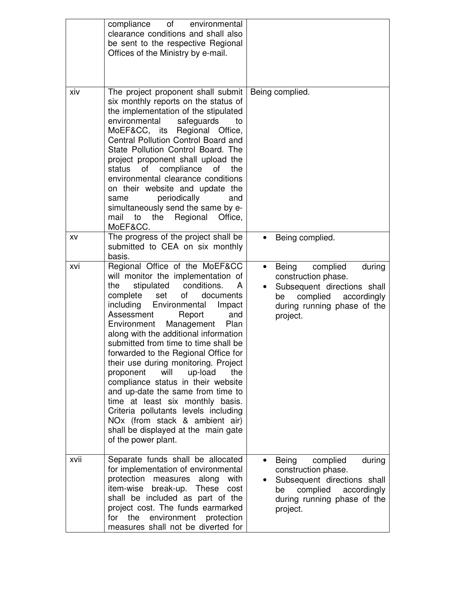|      | compliance of environmental<br>clearance conditions and shall also<br>be sent to the respective Regional<br>Offices of the Ministry by e-mail.                                                                                                                                                                                                                                                                                                                                                                                                                                                                                                                                                                     |                                                                                                                                                                            |
|------|--------------------------------------------------------------------------------------------------------------------------------------------------------------------------------------------------------------------------------------------------------------------------------------------------------------------------------------------------------------------------------------------------------------------------------------------------------------------------------------------------------------------------------------------------------------------------------------------------------------------------------------------------------------------------------------------------------------------|----------------------------------------------------------------------------------------------------------------------------------------------------------------------------|
| xiv  | The project proponent shall submit<br>six monthly reports on the status of<br>the implementation of the stipulated<br>environmental<br>safeguards<br>to<br>MoEF&CC, its Regional Office,<br>Central Pollution Control Board and<br>State Pollution Control Board. The<br>project proponent shall upload the<br>of compliance<br>status<br>of<br>the<br>environmental clearance conditions<br>on their website and update the<br>periodically<br>and<br>same<br>simultaneously send the same by e-<br>the Regional<br>Office,<br>mail<br>to<br>MoEF&CC.                                                                                                                                                             | Being complied.                                                                                                                                                            |
| XV   | The progress of the project shall be<br>submitted to CEA on six monthly<br>basis.                                                                                                                                                                                                                                                                                                                                                                                                                                                                                                                                                                                                                                  | Being complied.                                                                                                                                                            |
| xvi  | Regional Office of the MoEF&CC<br>will monitor the implementation of<br>stipulated conditions.<br>the<br>A<br>of<br>set<br>complete<br>documents<br>including Environmental Impact<br>Assessment<br>Report<br>and<br>Environment Management<br>Plan<br>along with the additional information<br>submitted from time to time shall be<br>forwarded to the Regional Office for<br>their use during monitoring. Project<br>will<br>up-load<br>the<br>proponent<br>compliance status in their website<br>and up-date the same from time to<br>time at least six monthly basis.<br>Criteria pollutants levels including<br>NOx (from stack & ambient air)<br>shall be displayed at the main gate<br>of the power plant. | complied<br>Being<br>during<br>$\bullet$<br>construction phase.<br>Subsequent directions shall<br>complied<br>accordingly<br>be<br>during running phase of the<br>project. |
| xvii | Separate funds shall be allocated<br>for implementation of environmental<br>protection<br>measures<br>along<br>with<br>item-wise<br>break-up.<br>These<br>cost<br>shall be included as part of the<br>project cost. The funds earmarked<br>environment protection<br>for<br>the<br>measures shall not be diverted for                                                                                                                                                                                                                                                                                                                                                                                              | complied<br>Being<br>during<br>$\bullet$<br>construction phase.<br>Subsequent directions shall<br>complied<br>accordingly<br>be<br>during running phase of the<br>project. |